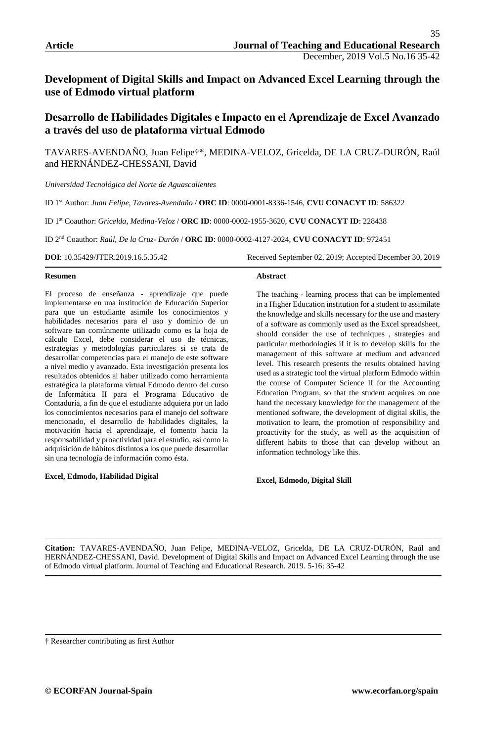# **Development of Digital Skills and Impact on Advanced Excel Learning through the use of Edmodo virtual platform**

# **Desarrollo de Habilidades Digitales e Impacto en el Aprendizaje de Excel Avanzado a través del uso de plataforma virtual Edmodo**

TAVARES-AVENDAÑO, Juan Felipe†\*, MEDINA-VELOZ, Gricelda, DE LA CRUZ-DURÓN, Raúl and HERNÁNDEZ-CHESSANI, David

*Universidad Tecnológica del Norte de Aguascalientes*

ID 1st Author: *Juan Felipe, Tavares-Avendaño* / **ORC ID**: 0000-0001-8336-1546, **CVU CONACYT ID**: 586322

ID 1st Coauthor: *Gricelda, Medina-Veloz* / **ORC ID**: 0000-0002-1955-3620, **CVU CONACYT ID**: 228438

ID 2nd Coauthor: *Raúl, De la Cruz- Durón* / **ORC ID**: 0000-0002-4127-2024, **CVU CONACYT ID**: 972451

#### **Resumen**

El proceso de enseñanza - aprendizaje que puede implementarse en una institución de Educación Superior para que un estudiante asimile los conocimientos y habilidades necesarios para el uso y dominio de un software tan comúnmente utilizado como es la hoja de cálculo Excel, debe considerar el uso de técnicas, estrategias y metodologías particulares si se trata de desarrollar competencias para el manejo de este software a nivel medio y avanzado. Esta investigación presenta los resultados obtenidos al haber utilizado como herramienta estratégica la plataforma virtual Edmodo dentro del curso de Informática II para el Programa Educativo de Contaduría, a fin de que el estudiante adquiera por un lado los conocimientos necesarios para el manejo del software mencionado, el desarrollo de habilidades digitales, la motivación hacia el aprendizaje, el fomento hacia la responsabilidad y proactividad para el estudio, así como la adquisición de hábitos distintos a los que puede desarrollar sin una tecnología de información como ésta.

#### **Excel, Edmodo, Habilidad Digital**

**DOI**: 10.35429/JTER.2019.16.5.35.42 Received September 02, 2019; Accepted December 30, 2019

#### **Abstract**

The teaching - learning process that can be implemented in a Higher Education institution for a student to assimilate the knowledge and skills necessary for the use and mastery of a software as commonly used as the Excel spreadsheet, should consider the use of techniques , strategies and particular methodologies if it is to develop skills for the management of this software at medium and advanced level. This research presents the results obtained having used as a strategic tool the virtual platform Edmodo within the course of Computer Science II for the Accounting Education Program, so that the student acquires on one hand the necessary knowledge for the management of the mentioned software, the development of digital skills, the motivation to learn, the promotion of responsibility and proactivity for the study, as well as the acquisition of different habits to those that can develop without an information technology like this.

**Excel, Edmodo, Digital Skill**

**Citation:** TAVARES-AVENDAÑO, Juan Felipe, MEDINA-VELOZ, Gricelda, DE LA CRUZ-DURÓN, Raúl and HERNÁNDEZ-CHESSANI, David. Development of Digital Skills and Impact on Advanced Excel Learning through the use of Edmodo virtual platform. Journal of Teaching and Educational Research. 2019. 5-16: 35-42

<sup>†</sup> Researcher contributing as first Author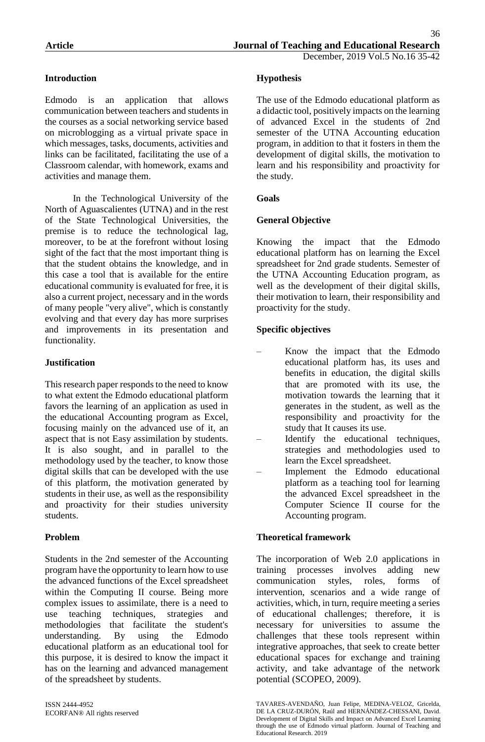# **Introduction**

Edmodo is an application that allows communication between teachers and students in the courses as a social networking service based on microblogging as a virtual private space in which messages, tasks, documents, activities and links can be facilitated, facilitating the use of a Classroom calendar, with homework, exams and activities and manage them.

In the Technological University of the North of Aguascalientes (UTNA) and in the rest of the State Technological Universities, the premise is to reduce the technological lag, moreover, to be at the forefront without losing sight of the fact that the most important thing is that the student obtains the knowledge, and in this case a tool that is available for the entire educational community is evaluated for free, it is also a current project, necessary and in the words of many people "very alive", which is constantly evolving and that every day has more surprises and improvements in its presentation and functionality.

# **Justification**

This research paper responds to the need to know to what extent the Edmodo educational platform favors the learning of an application as used in the educational Accounting program as Excel, focusing mainly on the advanced use of it, an aspect that is not Easy assimilation by students. It is also sought, and in parallel to the methodology used by the teacher, to know those digital skills that can be developed with the use of this platform, the motivation generated by students in their use, as well as the responsibility and proactivity for their studies university students.

## **Problem**

Students in the 2nd semester of the Accounting program have the opportunity to learn how to use the advanced functions of the Excel spreadsheet within the Computing II course. Being more complex issues to assimilate, there is a need to use teaching techniques, strategies and methodologies that facilitate the student's understanding. By using the Edmodo educational platform as an educational tool for this purpose, it is desired to know the impact it has on the learning and advanced management of the spreadsheet by students.

# **Hypothesis**

The use of the Edmodo educational platform as a didactic tool, positively impacts on the learning of advanced Excel in the students of 2nd semester of the UTNA Accounting education program, in addition to that it fosters in them the development of digital skills, the motivation to learn and his responsibility and proactivity for the study.

# **Goals**

## **General Objective**

Knowing the impact that the Edmodo educational platform has on learning the Excel spreadsheet for 2nd grade students. Semester of the UTNA Accounting Education program, as well as the development of their digital skills, their motivation to learn, their responsibility and proactivity for the study.

# **Specific objectives**

- Know the impact that the Edmodo educational platform has, its uses and benefits in education, the digital skills that are promoted with its use, the motivation towards the learning that it generates in the student, as well as the responsibility and proactivity for the study that It causes its use.
- Identify the educational techniques, strategies and methodologies used to learn the Excel spreadsheet.
- Implement the Edmodo educational platform as a teaching tool for learning the advanced Excel spreadsheet in the Computer Science II course for the Accounting program.

## **Theoretical framework**

The incorporation of Web 2.0 applications in training processes involves adding new communication styles, roles, forms of intervention, scenarios and a wide range of activities, which, in turn, require meeting a series of educational challenges; therefore, it is necessary for universities to assume the challenges that these tools represent within integrative approaches, that seek to create better educational spaces for exchange and training activity, and take advantage of the network potential (SCOPEO, 2009).

TAVARES-AVENDAÑO, Juan Felipe, MEDINA-VELOZ, Gricelda, DE LA CRUZ-DURÓN, Raúl and HERNÁNDEZ-CHESSANI, David. Development of Digital Skills and Impact on Advanced Excel Learning through the use of Edmodo virtual platform. Journal of Teaching and Educational Research. 2019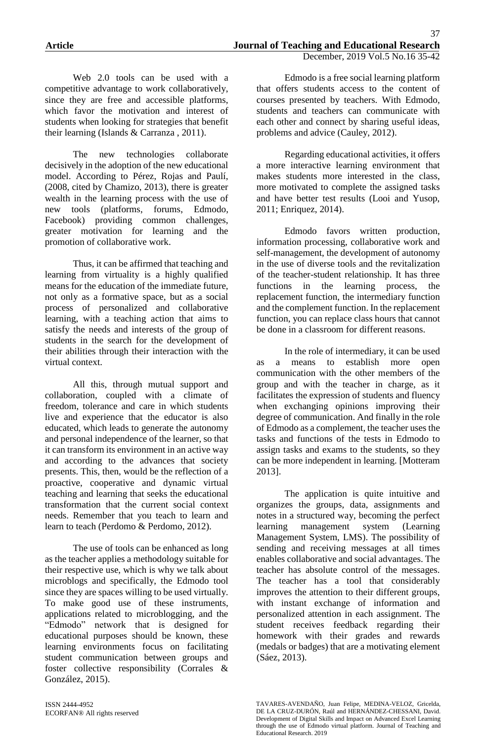Web 2.0 tools can be used with a competitive advantage to work collaboratively, since they are free and accessible platforms, which favor the motivation and interest of students when looking for strategies that benefit their learning (Islands & Carranza , 2011).

The new technologies collaborate decisively in the adoption of the new educational model. According to Pérez, Rojas and Paulí, (2008, cited by Chamizo, 2013), there is greater wealth in the learning process with the use of new tools (platforms, forums, Edmodo, Facebook) providing common challenges, greater motivation for learning and the promotion of collaborative work.

Thus, it can be affirmed that teaching and learning from virtuality is a highly qualified means for the education of the immediate future, not only as a formative space, but as a social process of personalized and collaborative learning, with a teaching action that aims to satisfy the needs and interests of the group of students in the search for the development of their abilities through their interaction with the virtual context.

All this, through mutual support and collaboration, coupled with a climate of freedom, tolerance and care in which students live and experience that the educator is also educated, which leads to generate the autonomy and personal independence of the learner, so that it can transform its environment in an active way and according to the advances that society presents. This, then, would be the reflection of a proactive, cooperative and dynamic virtual teaching and learning that seeks the educational transformation that the current social context needs. Remember that you teach to learn and learn to teach (Perdomo & Perdomo, 2012).

The use of tools can be enhanced as long as the teacher applies a methodology suitable for their respective use, which is why we talk about microblogs and specifically, the Edmodo tool since they are spaces willing to be used virtually. To make good use of these instruments, applications related to microblogging, and the "Edmodo" network that is designed for educational purposes should be known, these learning environments focus on facilitating student communication between groups and foster collective responsibility (Corrales & González, 2015).

ISSN 2444-4952 ECORFAN® All rights reserved

Edmodo is a free social learning platform that offers students access to the content of courses presented by teachers. With Edmodo, students and teachers can communicate with each other and connect by sharing useful ideas, problems and advice (Cauley, 2012).

Regarding educational activities, it offers a more interactive learning environment that makes students more interested in the class, more motivated to complete the assigned tasks and have better test results (Looi and Yusop, 2011; Enriquez, 2014).

Edmodo favors written production, information processing, collaborative work and self-management, the development of autonomy in the use of diverse tools and the revitalization of the teacher-student relationship. It has three functions in the learning process, the replacement function, the intermediary function and the complement function. In the replacement function, you can replace class hours that cannot be done in a classroom for different reasons.

In the role of intermediary, it can be used as a means to establish more open communication with the other members of the group and with the teacher in charge, as it facilitates the expression of students and fluency when exchanging opinions improving their degree of communication. And finally in the role of Edmodo as a complement, the teacher uses the tasks and functions of the tests in Edmodo to assign tasks and exams to the students, so they can be more independent in learning. [Motteram 2013].

The application is quite intuitive and organizes the groups, data, assignments and notes in a structured way, becoming the perfect learning management system (Learning Management System, LMS). The possibility of sending and receiving messages at all times enables collaborative and social advantages. The teacher has absolute control of the messages. The teacher has a tool that considerably improves the attention to their different groups, with instant exchange of information and personalized attention in each assignment. The student receives feedback regarding their homework with their grades and rewards (medals or badges) that are a motivating element (Sáez, 2013).

TAVARES-AVENDAÑO, Juan Felipe, MEDINA-VELOZ, Gricelda, DE LA CRUZ-DURÓN, Raúl and HERNÁNDEZ-CHESSANI, David. Development of Digital Skills and Impact on Advanced Excel Learning through the use of Edmodo virtual platform. Journal of Teaching and Educational Research. 2019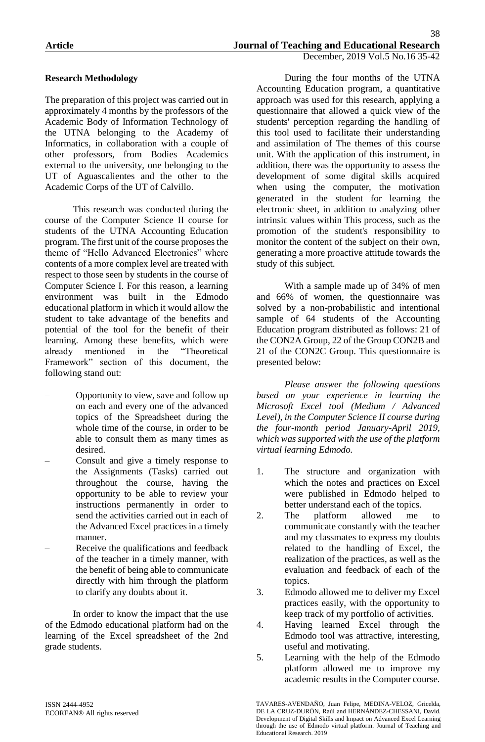## **Research Methodology**

The preparation of this project was carried out in approximately 4 months by the professors of the Academic Body of Information Technology of the UTNA belonging to the Academy of Informatics, in collaboration with a couple of other professors, from Bodies Academics external to the university, one belonging to the UT of Aguascalientes and the other to the Academic Corps of the UT of Calvillo.

This research was conducted during the course of the Computer Science II course for students of the UTNA Accounting Education program. The first unit of the course proposes the theme of "Hello Advanced Electronics" where contents of a more complex level are treated with respect to those seen by students in the course of Computer Science I. For this reason, a learning environment was built in the Edmodo educational platform in which it would allow the student to take advantage of the benefits and potential of the tool for the benefit of their learning. Among these benefits, which were<br>already mentioned in the "Theoretical already mentioned in the Framework" section of this document, the following stand out:

- Opportunity to view, save and follow up on each and every one of the advanced topics of the Spreadsheet during the whole time of the course, in order to be able to consult them as many times as desired.
- Consult and give a timely response to the Assignments (Tasks) carried out throughout the course, having the opportunity to be able to review your instructions permanently in order to send the activities carried out in each of the Advanced Excel practices in a timely manner.
- Receive the qualifications and feedback of the teacher in a timely manner, with the benefit of being able to communicate directly with him through the platform to clarify any doubts about it.

In order to know the impact that the use of the Edmodo educational platform had on the learning of the Excel spreadsheet of the 2nd grade students.

During the four months of the UTNA Accounting Education program, a quantitative approach was used for this research, applying a questionnaire that allowed a quick view of the students' perception regarding the handling of this tool used to facilitate their understanding and assimilation of The themes of this course unit. With the application of this instrument, in addition, there was the opportunity to assess the development of some digital skills acquired when using the computer, the motivation generated in the student for learning the electronic sheet, in addition to analyzing other intrinsic values within This process, such as the promotion of the student's responsibility to monitor the content of the subject on their own, generating a more proactive attitude towards the study of this subject.

With a sample made up of 34% of men and 66% of women, the questionnaire was solved by a non-probabilistic and intentional sample of 64 students of the Accounting Education program distributed as follows: 21 of the CON2A Group, 22 of the Group CON2B and 21 of the CON2C Group. This questionnaire is presented below:

*Please answer the following questions based on your experience in learning the Microsoft Excel tool (Medium / Advanced Level), in the Computer Science II course during the four-month period January-April 2019, which was supported with the use of the platform virtual learning Edmodo.*

- 1. The structure and organization with which the notes and practices on Excel were published in Edmodo helped to better understand each of the topics.
- 2. The platform allowed me to communicate constantly with the teacher and my classmates to express my doubts related to the handling of Excel, the realization of the practices, as well as the evaluation and feedback of each of the topics.
- 3. Edmodo allowed me to deliver my Excel practices easily, with the opportunity to keep track of my portfolio of activities.
- 4. Having learned Excel through the Edmodo tool was attractive, interesting, useful and motivating.
- 5. Learning with the help of the Edmodo platform allowed me to improve my academic results in the Computer course.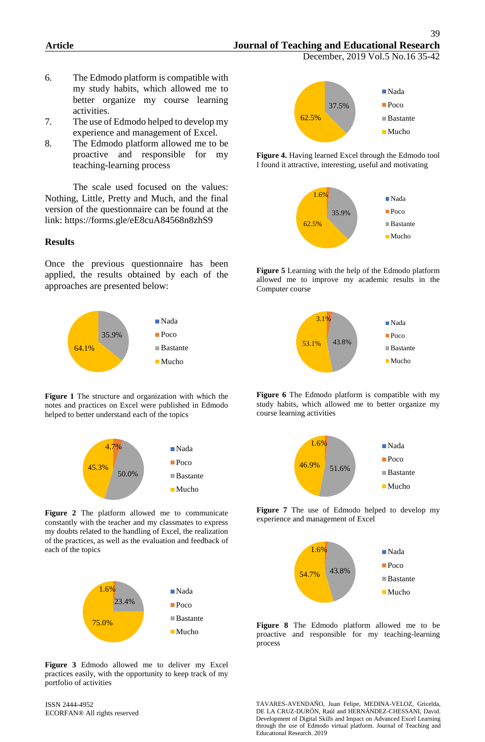December, 2019 Vol.5 No.16 35-42

- 6. The Edmodo platform is compatible with my study habits, which allowed me to better organize my course learning activities.
- 7. The use of Edmodo helped to develop my experience and management of Excel.
- 8. The Edmodo platform allowed me to be proactive and responsible for my teaching-learning process

The scale used focused on the values: Nothing, Little, Pretty and Much, and the final version of the questionnaire can be found at the link: https://forms.gle/eE8cuA84568n8zhS9

#### **Results**

Once the previous questionnaire has been applied, the results obtained by each of the approaches are presented below:



**Figure 1** The structure and organization with which the notes and practices on Excel were published in Edmodo helped to better understand each of the topics



**Figure 2** The platform allowed me to communicate constantly with the teacher and my classmates to express my doubts related to the handling of Excel, the realization of the practices, as well as the evaluation and feedback of each of the topics



**Figure 3** Edmodo allowed me to deliver my Excel practices easily, with the opportunity to keep track of my portfolio of activities

ISSN 2444-4952 ECORFAN® All rights reserved



**Figure 4.** Having learned Excel through the Edmodo tool I found it attractive, interesting, useful and motivating



**Figure 5** Learning with the help of the Edmodo platform allowed me to improve my academic results in the Computer course



**Figure 6** The Edmodo platform is compatible with my study habits, which allowed me to better organize my course learning activities



**Figure 7** The use of Edmodo helped to develop my experience and management of Excel



**Figure 8** The Edmodo platform allowed me to be proactive and responsible for my teaching-learning process

TAVARES-AVENDAÑO, Juan Felipe, MEDINA-VELOZ, Gricelda, DE LA CRUZ-DURÓN, Raúl and HERNÁNDEZ-CHESSANI, David. Development of Digital Skills and Impact on Advanced Excel Learning through the use of Edmodo virtual platform. Journal of Teaching and Educational Research. 2019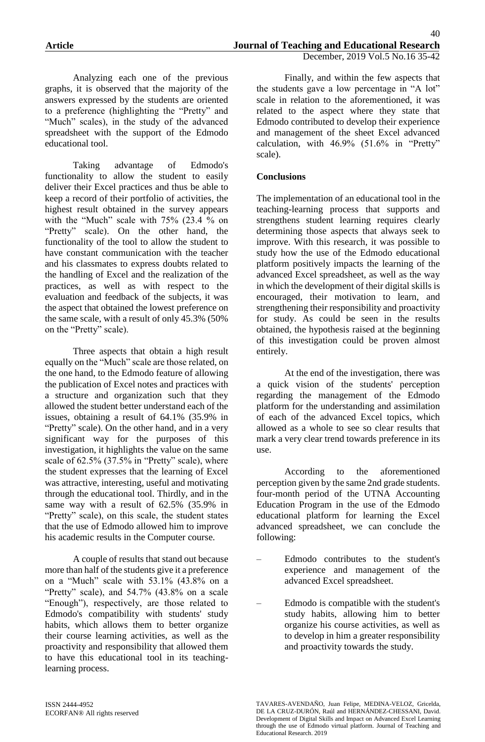Analyzing each one of the previous graphs, it is observed that the majority of the answers expressed by the students are oriented to a preference (highlighting the "Pretty" and "Much" scales), in the study of the advanced spreadsheet with the support of the Edmodo educational tool.

Taking advantage of Edmodo's functionality to allow the student to easily deliver their Excel practices and thus be able to keep a record of their portfolio of activities, the highest result obtained in the survey appears with the "Much" scale with 75% (23.4 % on "Pretty" scale). On the other hand, the functionality of the tool to allow the student to have constant communication with the teacher and his classmates to express doubts related to the handling of Excel and the realization of the practices, as well as with respect to the evaluation and feedback of the subjects, it was the aspect that obtained the lowest preference on the same scale, with a result of only 45.3% (50% on the "Pretty" scale).

Three aspects that obtain a high result equally on the "Much" scale are those related, on the one hand, to the Edmodo feature of allowing the publication of Excel notes and practices with a structure and organization such that they allowed the student better understand each of the issues, obtaining a result of 64.1% (35.9% in "Pretty" scale). On the other hand, and in a very significant way for the purposes of this investigation, it highlights the value on the same scale of 62.5% (37.5% in "Pretty" scale), where the student expresses that the learning of Excel was attractive, interesting, useful and motivating through the educational tool. Thirdly, and in the same way with a result of 62.5% (35.9% in "Pretty" scale), on this scale, the student states that the use of Edmodo allowed him to improve his academic results in the Computer course.

A couple of results that stand out because more than half of the students give it a preference on a "Much" scale with 53.1% (43.8% on a "Pretty" scale), and  $54.7\%$   $(43.8\%$  on a scale "Enough"), respectively, are those related to Edmodo's compatibility with students' study habits, which allows them to better organize their course learning activities, as well as the proactivity and responsibility that allowed them to have this educational tool in its teachinglearning process.

Finally, and within the few aspects that the students gave a low percentage in "A lot" scale in relation to the aforementioned, it was related to the aspect where they state that Edmodo contributed to develop their experience and management of the sheet Excel advanced calculation, with 46.9% (51.6% in "Pretty" scale).

## **Conclusions**

The implementation of an educational tool in the teaching-learning process that supports and strengthens student learning requires clearly determining those aspects that always seek to improve. With this research, it was possible to study how the use of the Edmodo educational platform positively impacts the learning of the advanced Excel spreadsheet, as well as the way in which the development of their digital skills is encouraged, their motivation to learn, and strengthening their responsibility and proactivity for study. As could be seen in the results obtained, the hypothesis raised at the beginning of this investigation could be proven almost entirely.

At the end of the investigation, there was a quick vision of the students' perception regarding the management of the Edmodo platform for the understanding and assimilation of each of the advanced Excel topics, which allowed as a whole to see so clear results that mark a very clear trend towards preference in its use.

According to the aforementioned perception given by the same 2nd grade students. four-month period of the UTNA Accounting Education Program in the use of the Edmodo educational platform for learning the Excel advanced spreadsheet, we can conclude the following:

- Edmodo contributes to the student's experience and management of the advanced Excel spreadsheet.
- Edmodo is compatible with the student's study habits, allowing him to better organize his course activities, as well as to develop in him a greater responsibility and proactivity towards the study.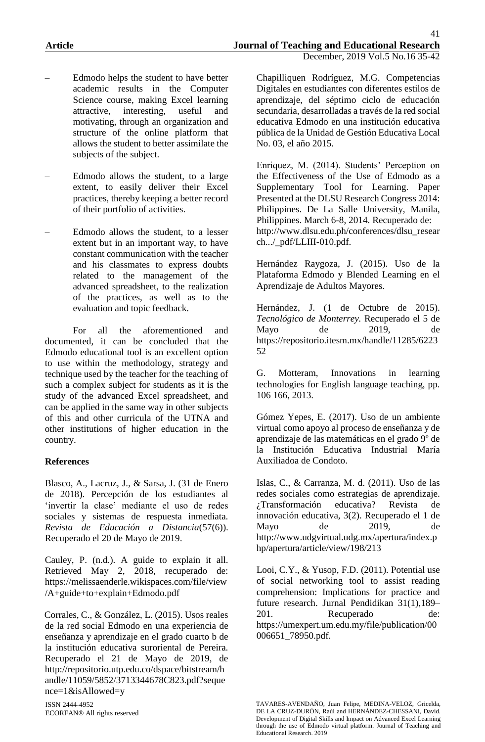- Edmodo helps the student to have better academic results in the Computer Science course, making Excel learning attractive, interesting, useful and motivating, through an organization and structure of the online platform that allows the student to better assimilate the subjects of the subject.
- Edmodo allows the student, to a large extent, to easily deliver their Excel practices, thereby keeping a better record of their portfolio of activities.
- Edmodo allows the student, to a lesser extent but in an important way, to have constant communication with the teacher and his classmates to express doubts related to the management of the advanced spreadsheet, to the realization of the practices, as well as to the evaluation and topic feedback.

For all the aforementioned and documented, it can be concluded that the Edmodo educational tool is an excellent option to use within the methodology, strategy and technique used by the teacher for the teaching of such a complex subject for students as it is the study of the advanced Excel spreadsheet, and can be applied in the same way in other subjects of this and other curricula of the UTNA and other institutions of higher education in the country.

## **References**

Blasco, A., Lacruz, J., & Sarsa, J. (31 de Enero de 2018). Percepción de los estudiantes al 'invertir la clase' mediante el uso de redes sociales y sistemas de respuesta inmediata. *Revista de Educación a Distancia*(57(6)). Recuperado el 20 de Mayo de 2019.

Cauley, P. (n.d.). A guide to explain it all. Retrieved May 2, 2018, recuperado de: https://melissaenderle.wikispaces.com/file/view /A+guide+to+explain+Edmodo.pdf

Corrales, C., & González, L. (2015). Usos reales de la red social Edmodo en una experiencia de enseñanza y aprendizaje en el grado cuarto b de la institución educativa suroriental de Pereira. Recuperado el 21 de Mayo de 2019, de http://repositorio.utp.edu.co/dspace/bitstream/h andle/11059/5852/3713344678C823.pdf?seque nce=1&isAllowed=y

ISSN 2444-4952 ECORFAN® All rights reserved

Chapilliquen Rodríguez, M.G. Competencias Digitales en estudiantes con diferentes estilos de aprendizaje, del séptimo ciclo de educación secundaria, desarrolladas a través de la red social educativa Edmodo en una institución educativa pública de la Unidad de Gestión Educativa Local No. 03, el año 2015.

Enriquez, M. (2014). Students' Perception on the Effectiveness of the Use of Edmodo as a Supplementary Tool for Learning. Paper Presented at the DLSU Research Congress 2014: Philippines. De La Salle University, Manila, Philippines. March 6-8, 2014. Recuperado de: http://www.dlsu.edu.ph/conferences/dlsu\_resear ch.../\_pdf/LLIII-010.pdf.

Hernández Raygoza, J. (2015). Uso de la Plataforma Edmodo y Blended Learning en el Aprendizaje de Adultos Mayores.

Hernández, J. (1 de Octubre de 2015). *Tecnológico de Monterrey.* Recuperado el 5 de Mayo de 2019, de https://repositorio.itesm.mx/handle/11285/6223 52

G. Motteram, Innovations in learning technologies for English language teaching, pp. 106 166, 2013.

Gómez Yepes, E. (2017). Uso de un ambiente virtual como apoyo al proceso de enseñanza y de aprendizaje de las matemáticas en el grado 9º de la Institución Educativa Industrial María Auxiliadoa de Condoto.

Islas, C., & Carranza, M. d. (2011). Uso de las redes sociales como estrategias de aprendizaje. ¿Transformación educativa? Revista de innovación educativa, 3(2). Recuperado el 1 de Mayo de 2019, de http://www.udgvirtual.udg.mx/apertura/index.p hp/apertura/article/view/198/213

Looi, C.Y., & Yusop, F.D. (2011). Potential use of social networking tool to assist reading comprehension: Implications for practice and future research. Jurnal Pendidikan 31(1),189– 201. Recuperado de: https://umexpert.um.edu.my/file/publication/00 006651\_78950.pdf.

TAVARES-AVENDAÑO, Juan Felipe, MEDINA-VELOZ, Gricelda, DE LA CRUZ-DURÓN, Raúl and HERNÁNDEZ-CHESSANI, David. Development of Digital Skills and Impact on Advanced Excel Learning through the use of Edmodo virtual platform. Journal of Teaching and Educational Research. 2019